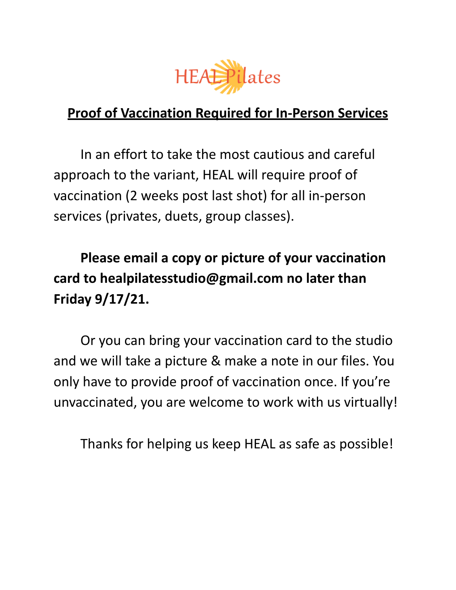

## **Proof of Vaccination Required for In-Person Services**

In an effort to take the most cautious and careful approach to the variant, HEAL will require proof of vaccination (2 weeks post last shot) for all in-person services (privates, duets, group classes).

**Please email a copy or picture of your vaccination card to healpilatesstudio@gmail.com no later than Friday 9/17/21.**

Or you can bring your vaccination card to the studio and we will take a picture & make a note in our files. You only have to provide proof of vaccination once. If you're unvaccinated, you are welcome to work with us virtually!

Thanks for helping us keep HEAL as safe as possible!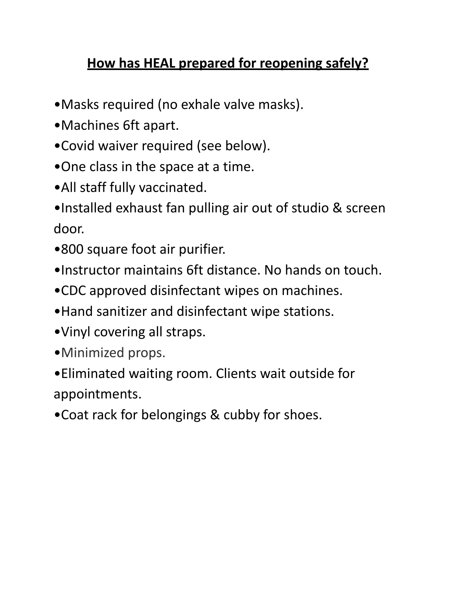## **How has HEAL prepared for reopening safely?**

- •Masks required (no exhale valve masks).
- •Machines 6ft apart.
- •Covid waiver required (see below).
- •One class in the space at a time.
- •All staff fully vaccinated.
- •Installed exhaust fan pulling air out of studio & screen door.
- •800 square foot air purifier.
- •Instructor maintains 6ft distance. No hands on touch.
- •CDC approved disinfectant wipes on machines.
- •Hand sanitizer and disinfectant wipe stations.
- •Vinyl covering all straps.
- •Minimized props.
- •Eliminated waiting room. Clients wait outside for appointments.
- •Coat rack for belongings & cubby for shoes.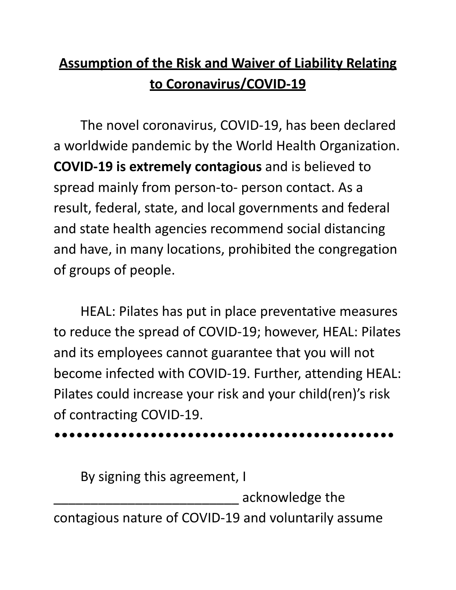## **Assumption of the Risk and Waiver of Liability Relating to Coronavirus/COVID-19**

The novel coronavirus, COVID-19, has been declared a worldwide pandemic by the World Health Organization. **COVID-19 is extremely contagious** and is believed to spread mainly from person-to- person contact. As a result, federal, state, and local governments and federal and state health agencies recommend social distancing and have, in many locations, prohibited the congregation of groups of people.

HEAL: Pilates has put in place preventative measures to reduce the spread of COVID-19; however, HEAL: Pilates and its employees cannot guarantee that you will not become infected with COVID-19. Further, attending HEAL: Pilates could increase your risk and your child(ren)'s risk of contracting COVID-19.

## ••••••••••••••••••••••••••••••••••••••••••••••

By signing this agreement, I

\_\_\_\_\_\_\_\_\_\_\_\_\_\_\_\_\_\_\_\_\_\_\_\_\_ acknowledge the

contagious nature of COVID-19 and voluntarily assume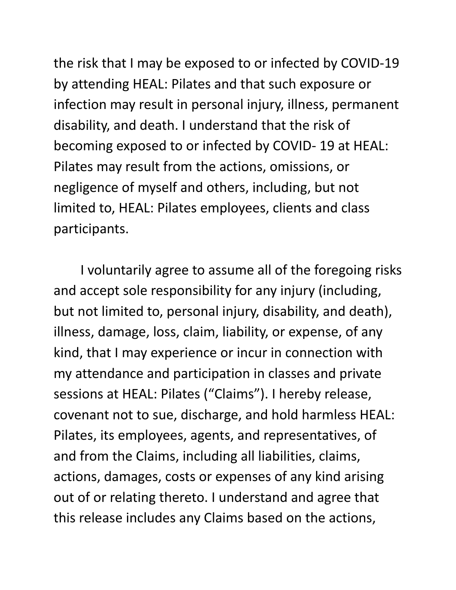the risk that I may be exposed to or infected by COVID-19 by attending HEAL: Pilates and that such exposure or infection may result in personal injury, illness, permanent disability, and death. I understand that the risk of becoming exposed to or infected by COVID- 19 at HEAL: Pilates may result from the actions, omissions, or negligence of myself and others, including, but not limited to, HEAL: Pilates employees, clients and class participants.

I voluntarily agree to assume all of the foregoing risks and accept sole responsibility for any injury (including, but not limited to, personal injury, disability, and death), illness, damage, loss, claim, liability, or expense, of any kind, that I may experience or incur in connection with my attendance and participation in classes and private sessions at HEAL: Pilates ("Claims"). I hereby release, covenant not to sue, discharge, and hold harmless HEAL: Pilates, its employees, agents, and representatives, of and from the Claims, including all liabilities, claims, actions, damages, costs or expenses of any kind arising out of or relating thereto. I understand and agree that this release includes any Claims based on the actions,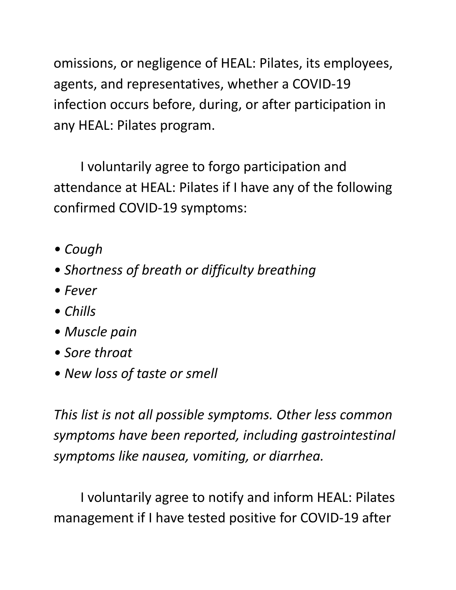omissions, or negligence of HEAL: Pilates, its employees, agents, and representatives, whether a COVID-19 infection occurs before, during, or after participation in any HEAL: Pilates program.

I voluntarily agree to forgo participation and attendance at HEAL: Pilates if I have any of the following confirmed COVID-19 symptoms:

- *• Cough*
- *• Shortness of breath or difficulty breathing*
- *• Fever*
- *• Chills*
- *• Muscle pain*
- *• Sore throat*
- *• New loss of taste or smell*

*This list is not all possible symptoms. Other less common symptoms have been reported, including gastrointestinal symptoms like nausea, vomiting, or diarrhea.*

I voluntarily agree to notify and inform HEAL: Pilates management if I have tested positive for COVID-19 after